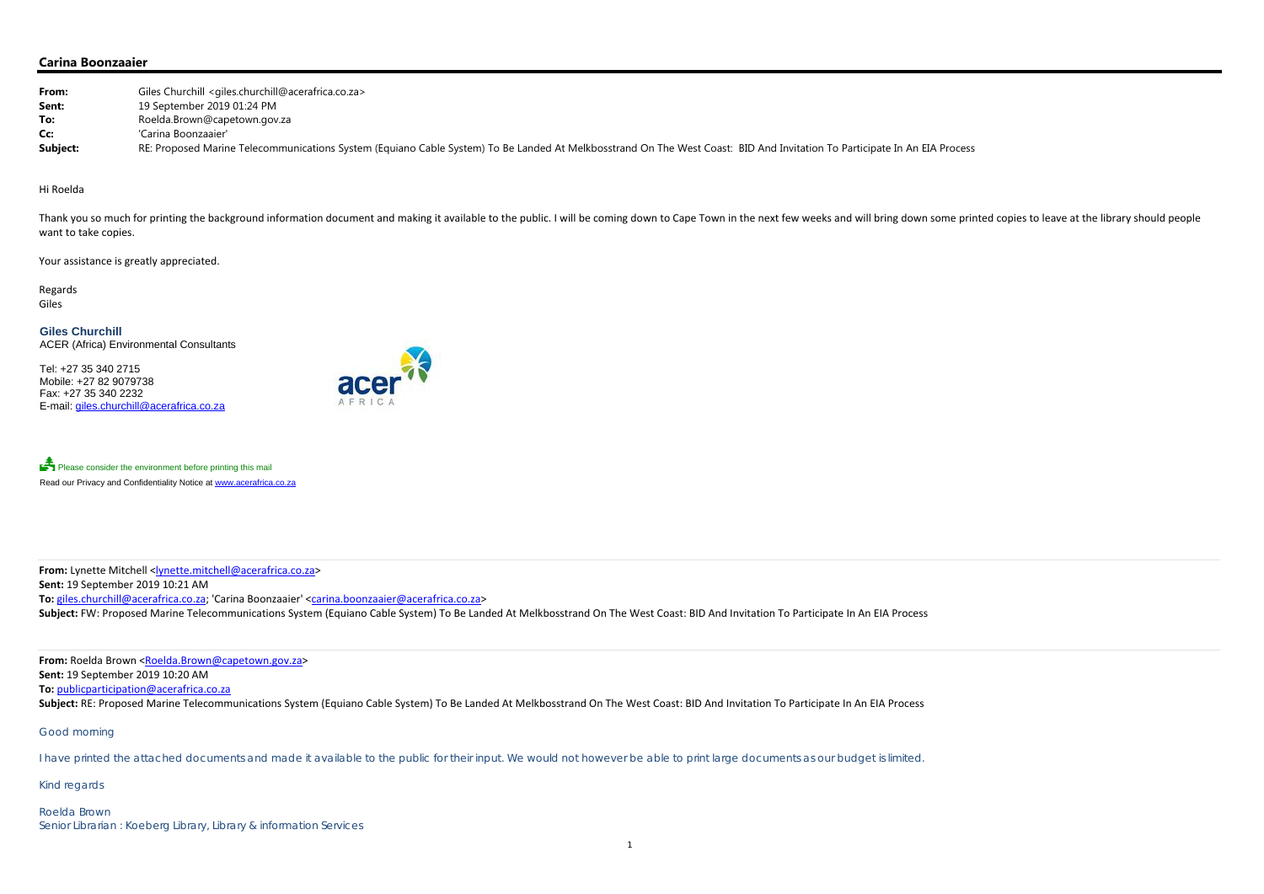## **Carina Boonzaaier**

| From:    | Giles Churchill <giles.churchill@acerafrica.co.za></giles.churchill@acerafrica.co.za>                                                                                     |
|----------|---------------------------------------------------------------------------------------------------------------------------------------------------------------------------|
| Sent:    | 19 September 2019 01:24 PM                                                                                                                                                |
| To:      | Roelda.Brown@capetown.gov.za                                                                                                                                              |
| Cc:      | 'Carina Boonzaaier'                                                                                                                                                       |
| Subject: | RE: Proposed Marine Telecommunications System (Equiano Cable System) To Be Landed At Melkbosstrand On The West Coast: BID And Invitation To Participate In An EIA Process |

Thank you so much for printing the background information document and making it available to the public. I will be coming down to Cape Town in the next few weeks and will bring down some printed copies to leave at the lib want to take copies.

#### Hi Roelda

Please consider the environment before printing this mail Read our Privacy and Confidentiality Notice at www.acerafrica.co.za

**From:** Lynette Mitchell <<u>lynette.mitchell@acerafrica.co.za</u>> **Sent:** 19 September 2019 10:21 AM **To:** giles.churchill@acerafrica.co.za; 'Carina Boonzaaier' <carina.boonzaaier@acerafrica.co.za> Subject: FW: Proposed Marine Telecommunications System (Equiano Cable System) To Be Landed At Melkbosstrand On The West Coast: BID And Invitation To Participate In An EIA Process

Your assistance is greatly appreciated.

Regards Giles

**From:** Roelda Brown <Roelda.Brown@capetown.gov.za> **Sent:** 19 September 2019 10:20 AM **To:** publicparticipation@acerafrica.co.za Subject: RE: Proposed Marine Telecommunications System (Equiano Cable System) To Be Landed At Melkbosstrand On The West Coast: BID And Invitation To Participate In An EIA Process

**Giles Churchill** ACER (Africa) Environmental Consultants

Tel: +27 35 340 2715 Mobile: +27 82 9079738 Fax: +27 35 340 2232 E-mail: giles.churchill@acerafrica.co.za



Good morning

I have printed the attached documents and made it available to the public for their input. We would not however be able to print large documents as our budget is limited.

Kind regards

Roelda Brown Senior Librarian : Koeberg Library, Library & information Services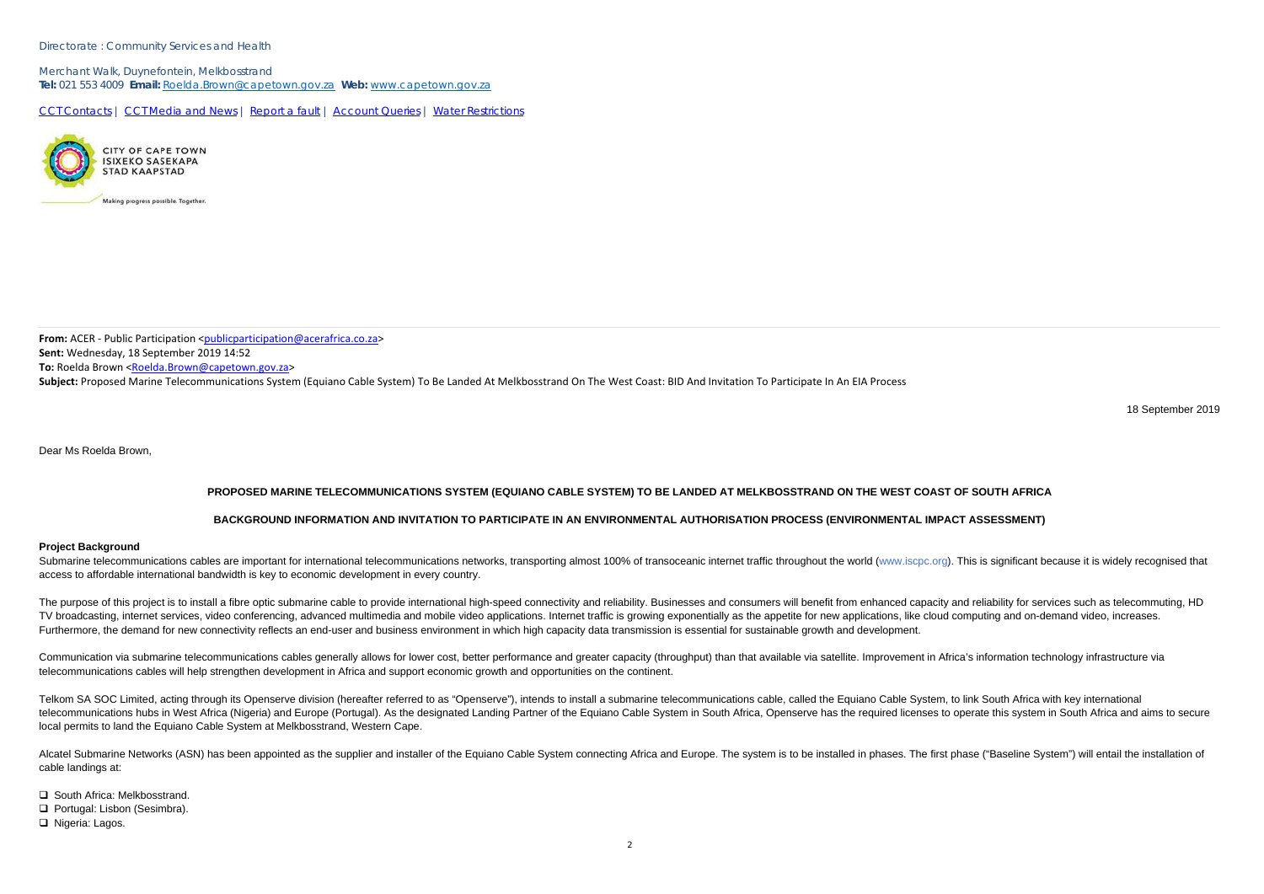### Directorate : Community Services and Health

Merchant Walk, Duynefontein, Melkbosstrand **Tel:** 021 553 4009 **Email:** Roelda.Brown@capetown.gov.za **Web:** www.capetown.gov.za

CCT Contacts | CCT Media and News | Report a fault | Account Queries | Water Restrictions



**From:** ACER - Public Participation <<u>publicparticipation@acerafrica.co.za</u>> **Sent:** Wednesday, 18 September 2019 14:52 **To:** Roelda Brown <<u>Roelda.Brown@capetown.gov.za</u>> **Subject:** Proposed Marine Telecommunications System (Equiano Cable System) To Be Landed At Melkbosstrand On The West Coast: BID And Invitation To Participate In An EIA Process

18 September 2019

Dear Ms Roelda Brown,

Submarine telecommunications cables are important for international telecommunications networks, transporting almost 100% of transoceanic internet traffic throughout the world (www.iscpc.org). This is significant because i access to affordable international bandwidth is key to economic development in every country.

# **PROPOSED MARINE TELECOMMUNICATIONS SYSTEM (EQUIANO CABLE SYSTEM) TO BE LANDED AT MELKBOSSTRAND ON THE WEST COAST OF SOUTH AFRICA**

## **BACKGROUND INFORMATION AND INVITATION TO PARTICIPATE IN AN ENVIRONMENTAL AUTHORISATION PROCESS (ENVIRONMENTAL IMPACT ASSESSMENT)**

### **Project Background**

The purpose of this project is to install a fibre optic submarine cable to provide international high-speed connectivity and reliability. Businesses and consumers will benefit from enhanced capacity and reliability for ser TV broadcasting, internet services, video conferencing, advanced multimedia and mobile video applications. Internet traffic is growing exponentially as the appetite for new applications, like cloud computing and on-demand Furthermore, the demand for new connectivity reflects an end-user and business environment in which high capacity data transmission is essential for sustainable growth and development.

Communication via submarine telecommunications cables generally allows for lower cost, better performance and greater capacity (throughput) than that available via satellite. Improvement in Africa's information technology telecommunications cables will help strengthen development in Africa and support economic growth and opportunities on the continent.

Telkom SA SOC Limited, acting through its Openserve division (hereafter referred to as "Openserve"), intends to install a submarine telecommunications cable, called the Equiano Cable System, to link South Africa with key i telecommunications hubs in West Africa (Nigeria) and Europe (Portugal). As the designated Landing Partner of the Equiano Cable System in South Africa, Openserve has the required licenses to operate this system in South Afr local permits to land the Equiano Cable System at Melkbosstrand, Western Cape.

Alcatel Submarine Networks (ASN) has been appointed as the supplier and installer of the Equiano Cable System connecting Africa and Europe. The system is to be installed in phases. The first phase ("Baseline System") will cable landings at:

**□** South Africa: Melkbosstrand.

Portugal: Lisbon (Sesimbra).

□ Nigeria: Lagos.